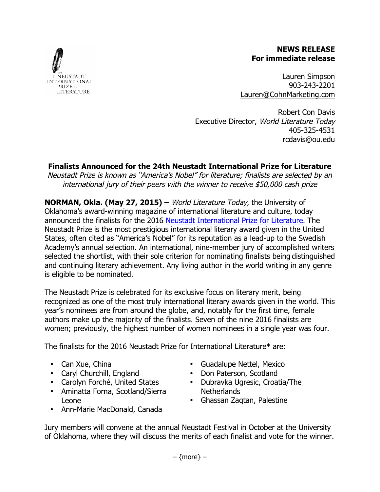#### **NEWS RELEASE For immediate release**

Lauren Simpson 903-243-2201 Lauren@CohnMarketing.com

Robert Con Davis Executive Director, World Literature Today 405-325-4531 rcdavis@ou.edu

# **Finalists Announced for the 24th Neustadt International Prize for Literature**

Neustadt Prize is known as "America's Nobel" for literature; finalists are selected by an international jury of their peers with the winner to receive \$50,000 cash prize

**NORMAN, Okla. (May 27, 2015) –** World Literature Today, the University of Oklahoma's award-winning magazine of international literature and culture, today announced the finalists for the 2016 Neustadt International Prize for Literature. The Neustadt Prize is the most prestigious international literary award given in the United States, often cited as "America's Nobel" for its reputation as a lead-up to the Swedish Academy's annual selection. An international, nine-member jury of accomplished writers selected the shortlist, with their sole criterion for nominating finalists being distinguished and continuing literary achievement. Any living author in the world writing in any genre is eligible to be nominated.

The Neustadt Prize is celebrated for its exclusive focus on literary merit, being recognized as one of the most truly international literary awards given in the world. This year's nominees are from around the globe, and, notably for the first time, female authors make up the majority of the finalists. Seven of the nine 2016 finalists are women; previously, the highest number of women nominees in a single year was four.

The finalists for the 2016 Neustadt Prize for International Literature\* are:

- Can Xue, China
- Caryl Churchill, England
- Carolyn Forché, United States
- Aminatta Forna, Scotland/Sierra Leone
- Guadalupe Nettel, Mexico
- Don Paterson, Scotland
- Dubravka Ugresic, Croatia/The Netherlands
- Ghassan Zaqtan, Palestine
- Ann-Marie MacDonald, Canada

Jury members will convene at the annual Neustadt Festival in October at the University of Oklahoma, where they will discuss the merits of each finalist and vote for the winner.

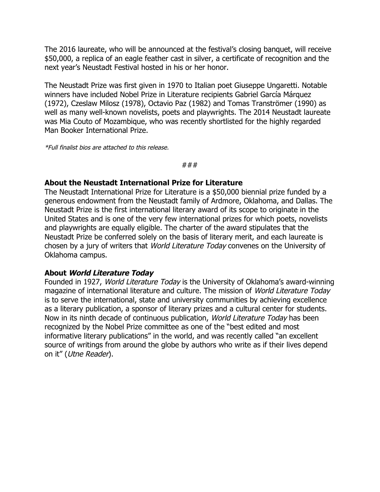The 2016 laureate, who will be announced at the festival's closing banquet, will receive \$50,000, a replica of an eagle feather cast in silver, a certificate of recognition and the next year's Neustadt Festival hosted in his or her honor.

The Neustadt Prize was first given in 1970 to Italian poet Giuseppe Ungaretti. Notable winners have included Nobel Prize in Literature recipients Gabriel García Márquez (1972), Czeslaw Milosz (1978), Octavio Paz (1982) and Tomas Tranströmer (1990) as well as many well-known novelists, poets and playwrights. The 2014 Neustadt laureate was Mia Couto of Mozambique, who was recently shortlisted for the highly regarded Man Booker International Prize.

\*Full finalist bios are attached to this release.

###

### **About the Neustadt International Prize for Literature**

The Neustadt International Prize for Literature is a \$50,000 biennial prize funded by a generous endowment from the Neustadt family of Ardmore, Oklahoma, and Dallas. The Neustadt Prize is the first international literary award of its scope to originate in the United States and is one of the very few international prizes for which poets, novelists and playwrights are equally eligible. The charter of the award stipulates that the Neustadt Prize be conferred solely on the basis of literary merit, and each laureate is chosen by a jury of writers that World Literature Today convenes on the University of Oklahoma campus.

#### **About World Literature Today**

Founded in 1927, World Literature Today is the University of Oklahoma's award-winning magazine of international literature and culture. The mission of World Literature Today is to serve the international, state and university communities by achieving excellence as a literary publication, a sponsor of literary prizes and a cultural center for students. Now in its ninth decade of continuous publication, World Literature Today has been recognized by the Nobel Prize committee as one of the "best edited and most informative literary publications" in the world, and was recently called "an excellent source of writings from around the globe by authors who write as if their lives depend on it" (Utne Reader).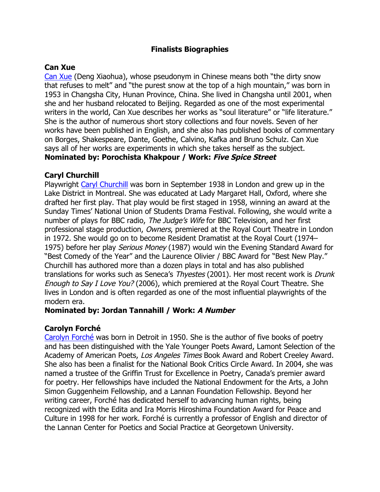## **Finalists Biographies**

#### **Can Xue**

Can Xue (Deng Xiaohua), whose pseudonym in Chinese means both "the dirty snow that refuses to melt" and "the purest snow at the top of a high mountain," was born in 1953 in Changsha City, Hunan Province, China. She lived in Changsha until 2001, when she and her husband relocated to Beijing. Regarded as one of the most experimental writers in the world, Can Xue describes her works as "soul literature" or "life literature." She is the author of numerous short story collections and four novels. Seven of her works have been published in English, and she also has published books of commentary on Borges, Shakespeare, Dante, Goethe, Calvino, Kafka and Bruno Schulz. Can Xue says all of her works are experiments in which she takes herself as the subject. **Nominated by: Porochista Khakpour / Work: Five Spice Street**

### **Caryl Churchill**

Playwright Caryl Churchill was born in September 1938 in London and grew up in the Lake District in Montreal. She was educated at Lady Margaret Hall, Oxford, where she drafted her first play. That play would be first staged in 1958, winning an award at the Sunday Times' National Union of Students Drama Festival. Following, she would write a number of plays for BBC radio, The Judge's Wife for BBC Television, and her first professional stage production, Owners, premiered at the Royal Court Theatre in London in 1972. She would go on to become Resident Dramatist at the Royal Court (1974– 1975) before her play Serious Money (1987) would win the Evening Standard Award for "Best Comedy of the Year" and the Laurence Olivier / BBC Award for "Best New Play." Churchill has authored more than a dozen plays in total and has also published translations for works such as Seneca's Thyestes (2001). Her most recent work is Drunk Enough to Say I Love You? (2006), which premiered at the Royal Court Theatre. She lives in London and is often regarded as one of the most influential playwrights of the modern era.

## **Nominated by: Jordan Tannahill / Work: A Number**

#### **Carolyn Forché**

Carolyn Forché was born in Detroit in 1950. She is the author of five books of poetry and has been distinguished with the Yale Younger Poets Award, Lamont Selection of the Academy of American Poets, Los Angeles Times Book Award and Robert Creeley Award. She also has been a finalist for the National Book Critics Circle Award. In 2004, she was named a trustee of the Griffin Trust for Excellence in Poetry, Canada's premier award for poetry. Her fellowships have included the National Endowment for the Arts, a John Simon Guggenheim Fellowship, and a Lannan Foundation Fellowship. Beyond her writing career, Forché has dedicated herself to advancing human rights, being recognized with the Edita and Ira Morris Hiroshima Foundation Award for Peace and Culture in 1998 for her work. Forché is currently a professor of English and director of the Lannan Center for Poetics and Social Practice at Georgetown University.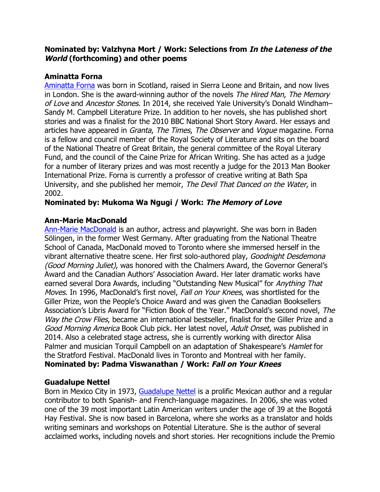## **Nominated by: Valzhyna Mort / Work: Selections from In the Lateness of the World (forthcoming) and other poems**

## **Aminatta Forna**

Aminatta Forna was born in Scotland, raised in Sierra Leone and Britain, and now lives in London. She is the award-winning author of the novels The Hired Man, The Memory of Love and Ancestor Stones. In 2014, she received Yale University's Donald Windham– Sandy M. Campbell Literature Prize. In addition to her novels, she has published short stories and was a finalist for the 2010 BBC National Short Story Award. Her essays and articles have appeared in *Granta, The Times, The Observer* and *Voque* magazine. Forna is a fellow and council member of the Royal Society of Literature and sits on the board of the National Theatre of Great Britain, the general committee of the Royal Literary Fund, and the council of the Caine Prize for African Writing. She has acted as a judge for a number of literary prizes and was most recently a judge for the 2013 Man Booker International Prize. Forna is currently a professor of creative writing at Bath Spa University, and she published her memoir, The Devil That Danced on the Water, in 2002.

# **Nominated by: Mukoma Wa Ngugi / Work: The Memory of Love**

## **Ann-Marie MacDonald**

Ann-Marie MacDonald is an author, actress and playwright. She was born in Baden Sölingen, in the former West Germany. After graduating from the National Theatre School of Canada, MacDonald moved to Toronto where she immersed herself in the vibrant alternative theatre scene. Her first solo-authored play, Goodnight Desdemona (Good Morning Juliet), was honored with the Chalmers Award, the Governor General's Award and the Canadian Authors' Association Award. Her later dramatic works have earned several Dora Awards, including "Outstanding New Musical" for Anything That Moves. In 1996, MacDonald's first novel, Fall on Your Knees, was shortlisted for the Giller Prize, won the People's Choice Award and was given the Canadian Booksellers Association's Libris Award for "Fiction Book of the Year." MacDonald's second novel, The Way the Crow Flies, became an international bestseller, finalist for the Giller Prize and a Good Morning America Book Club pick. Her latest novel, Adult Onset, was published in 2014. Also a celebrated stage actress, she is currently working with director Alisa Palmer and musician Torquil Campbell on an adaptation of Shakespeare's *Hamlet* for the Stratford Festival. MacDonald lives in Toronto and Montreal with her family. **Nominated by: Padma Viswanathan / Work: Fall on Your Knees**

# **Guadalupe Nettel**

Born in Mexico City in 1973, Guadalupe Nettel is a prolific Mexican author and a regular contributor to both Spanish- and French-language magazines. In 2006, she was voted one of the 39 most important Latin American writers under the age of 39 at the Bogotá Hay Festival. She is now based in Barcelona, where she works as a translator and holds writing seminars and workshops on Potential Literature. She is the author of several acclaimed works, including novels and short stories. Her recognitions include the Premio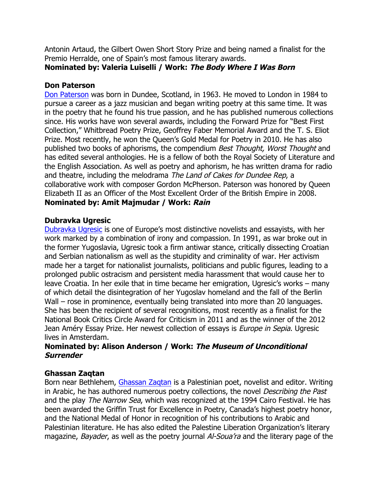Antonin Artaud, the Gilbert Owen Short Story Prize and being named a finalist for the Premio Herralde, one of Spain's most famous literary awards.

# **Nominated by: Valeria Luiselli / Work: The Body Where I Was Born**

# **Don Paterson**

Don Paterson was born in Dundee, Scotland, in 1963. He moved to London in 1984 to pursue a career as a jazz musician and began writing poetry at this same time. It was in the poetry that he found his true passion, and he has published numerous collections since. His works have won several awards, including the Forward Prize for "Best First Collection," Whitbread Poetry Prize, Geoffrey Faber Memorial Award and the T. S. Eliot Prize. Most recently, he won the Queen's Gold Medal for Poetry in 2010. He has also published two books of aphorisms, the compendium Best Thought, Worst Thought and has edited several anthologies. He is a fellow of both the Royal Society of Literature and the English Association. As well as poetry and aphorism, he has written drama for radio and theatre, including the melodrama The Land of Cakes for Dundee Rep, a collaborative work with composer Gordon McPherson. Paterson was honored by Queen Elizabeth II as an Officer of the Most Excellent Order of the British Empire in 2008. **Nominated by: Amit Majmudar / Work: Rain**

# **Dubravka Ugresic**

Dubravka Ugresic is one of Europe's most distinctive novelists and essayists, with her work marked by a combination of irony and compassion. In 1991, as war broke out in the former Yugoslavia, Ugresic took a firm antiwar stance, critically dissecting Croatian and Serbian nationalism as well as the stupidity and criminality of war. Her activism made her a target for nationalist journalists, politicians and public figures, leading to a prolonged public ostracism and persistent media harassment that would cause her to leave Croatia. In her exile that in time became her emigration, Ugresic's works – many of which detail the disintegration of her Yugoslav homeland and the fall of the Berlin Wall – rose in prominence, eventually being translated into more than 20 languages. She has been the recipient of several recognitions, most recently as a finalist for the National Book Critics Circle Award for Criticism in 2011 and as the winner of the 2012 Jean Améry Essay Prize. Her newest collection of essays is *Europe in Sepia*. Ugresic lives in Amsterdam.

## **Nominated by: Alison Anderson / Work: The Museum of Unconditional Surrender**

# **Ghassan Zaqtan**

Born near Bethlehem, Ghassan Zaqtan is a Palestinian poet, novelist and editor. Writing in Arabic, he has authored numerous poetry collections, the novel Describing the Past and the play The Narrow Sea, which was recognized at the 1994 Cairo Festival. He has been awarded the Griffin Trust for Excellence in Poetry, Canada's highest poetry honor, and the National Medal of Honor in recognition of his contributions to Arabic and Palestinian literature. He has also edited the Palestine Liberation Organization's literary magazine, *Bayader*, as well as the poetry journal Al-Soua'ra and the literary page of the